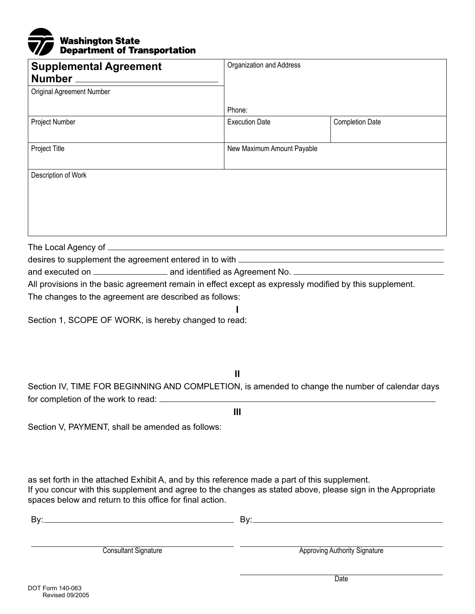

| <b>Supplemental Agreement</b>                                                                           | Organization and Address   |                        |  |  |
|---------------------------------------------------------------------------------------------------------|----------------------------|------------------------|--|--|
| Original Agreement Number                                                                               |                            |                        |  |  |
|                                                                                                         | Phone:                     |                        |  |  |
| Project Number                                                                                          | <b>Execution Date</b>      | <b>Completion Date</b> |  |  |
| Project Title                                                                                           | New Maximum Amount Payable |                        |  |  |
| Description of Work                                                                                     |                            |                        |  |  |
|                                                                                                         |                            |                        |  |  |
|                                                                                                         |                            |                        |  |  |
|                                                                                                         |                            |                        |  |  |
| All provisions in the basic agreement remain in effect except as expressly modified by this supplement. |                            |                        |  |  |
| The changes to the agreement are described as follows:                                                  |                            |                        |  |  |
| Section 1, SCOPE OF WORK, is hereby changed to read:                                                    |                            |                        |  |  |
|                                                                                                         | Ш                          |                        |  |  |

Section IV, TIME FOR BEGINNING AND COMPLETION, is amended to change the number of calendar days for completion of the work to read:

**III** 

Section V, PAYMENT, shall be amended as follows:

as set forth in the attached Exhibit A, and by this reference made a part of this supplement. If you concur with this supplement and agree to the changes as stated above, please sign in the Appropriate spaces below and return to this office for final action.

| Bv:                         | R۷۰                                  |  |
|-----------------------------|--------------------------------------|--|
| <b>Consultant Signature</b> | <b>Approving Authority Signature</b> |  |